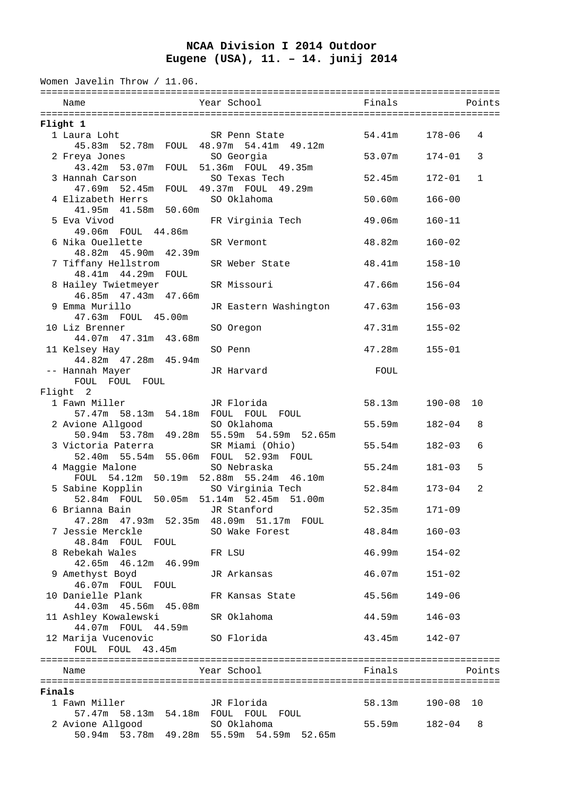## **NCAA Division I 2014 Outdoor Eugene (USA), 11. – 14. junij 2014**

| Women Javelin Throw / 11.06.                                   |                                                          |        |            |        |  |  |  |  |
|----------------------------------------------------------------|----------------------------------------------------------|--------|------------|--------|--|--|--|--|
| Name                                                           | Year School                                              | Finals |            | Points |  |  |  |  |
|                                                                |                                                          |        |            |        |  |  |  |  |
| Flight 1                                                       |                                                          |        |            |        |  |  |  |  |
| 1 Laura Loht<br>45.83m 52.78m FOUL 48.97m 54.41m 49.12m        | SR Penn State                                            | 54.41m | 178-06     | 4      |  |  |  |  |
| 2 Freya Jones<br>43.42m 53.07m FOUL 51.36m FOUL 49.35m         | SO Georgia                                               | 53.07m | 174-01     | 3      |  |  |  |  |
| 3 Hannah Carson<br>47.69m 52.45m FOUL 49.37m FOUL 49.29m       | SO Texas Tech                                            | 52.45m | $172 - 01$ | 1      |  |  |  |  |
| 4 Elizabeth Herrs<br>41.95m  41.58m  50.60m                    | SO Oklahoma                                              | 50.60m | $166 - 00$ |        |  |  |  |  |
| 5 Eva Vivod                                                    | FR Virginia Tech                                         | 49.06m | $160 - 11$ |        |  |  |  |  |
| 49.06m FOUL 44.86m<br>6 Nika Ouellette                         | SR Vermont                                               | 48.82m | $160 - 02$ |        |  |  |  |  |
| 48.82m  45.90m  42.39m<br>7 Tiffany Hellstrom                  | SR Weber State                                           | 48.41m | $158 - 10$ |        |  |  |  |  |
| 48.41m  44.29m  FOUL<br>8 Hailey Twietmeyer                    | SR Missouri                                              | 47.66m | $156 - 04$ |        |  |  |  |  |
| 46.85m  47.43m  47.66m<br>9 Emma Murillo                       | JR Eastern Washington                                    | 47.63m | $156 - 03$ |        |  |  |  |  |
| 47.63m FOUL 45.00m<br>10 Liz Brenner                           | SO Oregon                                                | 47.31m | $155 - 02$ |        |  |  |  |  |
| 44.07m  47.31m  43.68m<br>11 Kelsey Hay                        | SO Penn                                                  | 47.28m | $155 - 01$ |        |  |  |  |  |
| 44.82m  47.28m  45.94m<br>-- Hannah Mayer<br>FOUL FOUL FOUL    | JR Harvard                                               | FOUL   |            |        |  |  |  |  |
| Flight 2                                                       |                                                          |        |            |        |  |  |  |  |
| 1 Fawn Miller                                                  | JR Florida                                               | 58.13m | 190-08     | 10     |  |  |  |  |
| 57.47m 58.13m 54.18m FOUL FOUL FOUL<br>2 Avione Allgood        | SO Oklahoma                                              | 55.59m | $182 - 04$ | 8      |  |  |  |  |
|                                                                | 50.94m 53.78m 49.28m 55.59m 54.59m 52.65m                |        |            |        |  |  |  |  |
| 3 Victoria Paterra<br>52.40m 55.54m 55.06m FOUL 52.93m FOUL    | SR Miami (Ohio)                                          | 55.54m | $182 - 03$ | 6      |  |  |  |  |
| 4 Maggie Malone<br>FOUL 54.12m 50.19m 52.88m 55.24m 46.10m     | SO Nebraska                                              | 55.24m | $181 - 03$ | 5      |  |  |  |  |
| 5 Sabine Kopplin<br>52.84m FOUL 50.05m 51.14m 52.45m 51.00m    | SO Virginia Tech                                         | 52.84m | $173 - 04$ | 2      |  |  |  |  |
| 6 Brianna Bain<br>47.28m  47.93m  52.35m  48.09m  51.17m  FOUL | JR Stanford                                              | 52.35m | $171 - 09$ |        |  |  |  |  |
| 7 Jessie Merckle<br>48.84m FOUL FOUL                           | SO Wake Forest                                           | 48.84m | $160 - 03$ |        |  |  |  |  |
| 8 Rebekah Wales<br>42.65m  46.12m  46.99m                      | FR LSU                                                   | 46.99m | $154 - 02$ |        |  |  |  |  |
| 9 Amethyst Boyd<br>46.07m FOUL FOUL                            | JR Arkansas                                              | 46.07m | $151 - 02$ |        |  |  |  |  |
| 10 Danielle Plank<br>44.03m  45.56m  45.08m                    | FR Kansas State                                          | 45.56m | $149 - 06$ |        |  |  |  |  |
| 11 Ashley Kowalewski<br>44.07m FOUL 44.59m                     | SR Oklahoma                                              | 44.59m | $146 - 03$ |        |  |  |  |  |
| 12 Marija Vucenovic<br>FOUL FOUL 43.45m                        | SO Florida                                               | 43.45m | $142 - 07$ |        |  |  |  |  |
| Name                                                           | Year School                                              | Finals |            | Points |  |  |  |  |
| Finals                                                         |                                                          |        |            |        |  |  |  |  |
| 1 Fawn Miller<br>57.47m 58.13m 54.18m FOUL FOUL FOUL           | JR Florida                                               | 58.13m | 190-08     | 10     |  |  |  |  |
| 2 Avione Allgood                                               | SO Oklahoma<br>50.94m 53.78m 49.28m 55.59m 54.59m 52.65m | 55.59m | 182-04     | 8      |  |  |  |  |